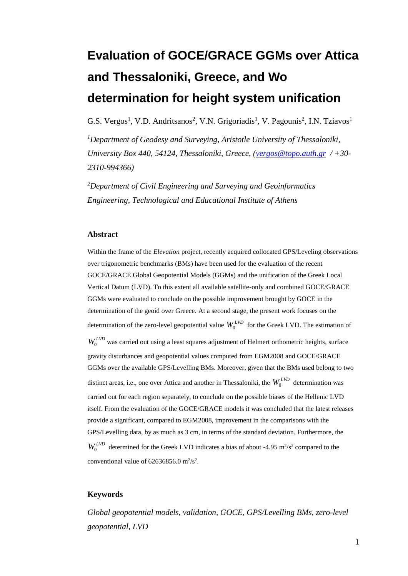# **Evaluation of GOCE/GRACE GGMs over Attica and Thessaloniki, Greece, and Wo determination for height system unification**

G.S. Vergos<sup>1</sup>, V.D. Andritsanos<sup>2</sup>, V.N. Grigoriadis<sup>1</sup>, V. Pagounis<sup>2</sup>, I.N. Tziavos<sup>1</sup>

*<sup>1</sup>Department of Geodesy and Surveying, Aristotle University of Thessaloniki, University Box 440, 54124, Thessaloniki, Greece, [\(vergos@topo.auth.gr](mailto:vergos@topo.auth.gr) / +30- 2310-994366)*

*<sup>2</sup>Department of Civil Engineering and Surveying and Geoinformatics Engineering, Technological and Educational Institute of Athens*

#### **Abstract**

Within the frame of the *Elevation* project, recently acquired collocated GPS/Leveling observations over trigonometric benchmarks (BMs) have been used for the evaluation of the recent GOCE/GRACE Global Geopotential Models (GGMs) and the unification of the Greek Local Vertical Datum (LVD). To this extent all available satellite-only and combined GOCE/GRACE GGMs were evaluated to conclude on the possible improvement brought by GOCE in the determination of the geoid over Greece. At a second stage, the present work focuses on the determination of the zero-level geopotential value  $W_0^{LVD}$  for the Greek LVD. The estimation of  $W_0^{LVD}$  was carried out using a least squares adjustment of Helmert orthometric heights, surface gravity disturbances and geopotential values computed from EGM2008 and GOCE/GRACE GGMs over the available GPS/Levelling BMs. Moreover, given that the BMs used belong to two distinct areas, i.e., one over Attica and another in Thessaloniki, the  $W_0^{LVD}$  determination was carried out for each region separately, to conclude on the possible biases of the Hellenic LVD itself. From the evaluation of the GOCE/GRACE models it was concluded that the latest releases provide a significant, compared to EGM2008, improvement in the comparisons with the GPS/Levelling data, by as much as 3 cm, in terms of the standard deviation. Furthermore, the  $W_0^{LVD}$  determined for the Greek LVD indicates a bias of about -4.95 m<sup>2</sup>/s<sup>2</sup> compared to the conventional value of  $62636856.0 \text{ m}^2/\text{s}^2$ .

### **Keywords**

*Global geopotential models, validation, GOCE, GPS/Levelling BMs, zero-level geopotential, LVD*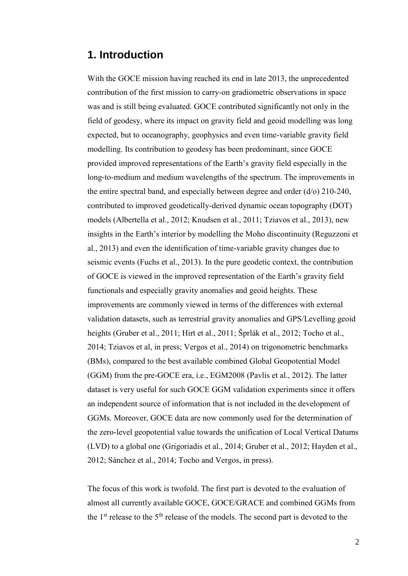# **1. Introduction**

With the GOCE mission having reached its end in late 2013, the unprecedented contribution of the first mission to carry-on gradiometric observations in space was and is still being evaluated. GOCE contributed significantly not only in the field of geodesy, where its impact on gravity field and geoid modelling was long expected, but to oceanography, geophysics and even time-variable gravity field modelling. Its contribution to geodesy has been predominant, since GOCE provided improved representations of the Earth's gravity field especially in the long-to-medium and medium wavelengths of the spectrum. The improvements in the entire spectral band, and especially between degree and order (d/o) 210-240, contributed to improved geodetically-derived dynamic ocean topography (DOT) models (Albertella et al., 2012; Knudsen et al., 2011; Tziavos et al., 2013), new insights in the Earth's interior by modelling the Moho discontinuity (Reguzzoni et al., 2013) and even the identification of time-variable gravity changes due to seismic events (Fuchs et al., 2013). In the pure geodetic context, the contribution of GOCE is viewed in the improved representation of the Earth's gravity field functionals and especially gravity anomalies and geoid heights. These improvements are commonly viewed in terms of the differences with external validation datasets, such as terrestrial gravity anomalies and GPS/Levelling geoid heights (Gruber et al., 2011; Hirt et al., 2011; Šprlák et al., 2012; Tocho et al., 2014; Tziavos et al, in press; Vergos et al., 2014) on trigonometric benchmarks (BMs), compared to the best available combined Global Geopotential Model (GGM) from the pre-GOCE era, i.e., EGM2008 (Pavlis et al., 2012). The latter dataset is very useful for such GOCE GGM validation experiments since it offers an independent source of information that is not included in the development of GGMs. Moreover, GOCE data are now commonly used for the determination of the zero-level geopotential value towards the unification of Local Vertical Datums (LVD) to a global one (Grigoriadis et al., 2014; Gruber et al., 2012; Hayden et al., 2012; Sánchez et al., 2014; Tocho and Vergos, in press).

The focus of this work is twofold. The first part is devoted to the evaluation of almost all currently available GOCE, GOCE/GRACE and combined GGMs from the  $1<sup>st</sup>$  release to the  $5<sup>th</sup>$  release of the models. The second part is devoted to the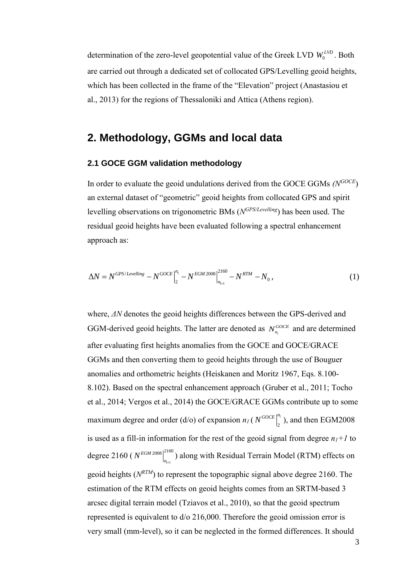determination of the zero-level geopotential value of the Greek LVD  $W_0^{LVD}$ . Both are carried out through a dedicated set of collocated GPS/Levelling geoid heights, which has been collected in the frame of the "Elevation" project (Anastasiou et al., 2013) for the regions of Thessaloniki and Attica (Athens region).

## **2. Methodology, GGMs and local data**

### **2.1 GOCE GGM validation methodology**

In order to evaluate the geoid undulations derived from the GOCE GGMs *(NGOCE*) an external dataset of "geometric" geoid heights from collocated GPS and spirit levelling observations on trigonometric BMs (*N GPS/Levelling*) has been used. The residual geoid heights have been evaluated following a spectral enhancement approach as:

$$
\Delta N = N^{GPS/Levelling} - N^{GOCE} \Big|_{2}^{n_{1}} - N^{EGM 2008} \Big|_{n_{1+1}}^{2160} - N^{RTM} - N_{0}, \tag{1}
$$

where, *ΔN* denotes the geoid heights differences between the GPS-derived and GGM-derived geoid heights. The latter are denoted as  $N_{n_i}^{GOCE}$  and are determined after evaluating first heights anomalies from the GOCE and GOCE/GRACE GGMs and then converting them to geoid heights through the use of Bouguer anomalies and orthometric heights (Heiskanen and Moritz 1967, Eqs. 8.100- 8.102). Based on the spectral enhancement approach (Gruber et al., 2011; Tocho et al., 2014; Vergos et al., 2014) the GOCE/GRACE GGMs contribute up to some maximum degree and order (d/o) of expansion  $n_l$  ( $N^{GOCE}$ <sup>n</sup>  $N^{GOCE} \Big|_2^{n_1}$ ), and then EGM2008 is used as a fill-in information for the rest of the geoid signal from degree  $n_1+1$  to degree 2160 ( $N^{EGM\,2008}$  $\Big|_{n_{\text{H-1}}}^{n_{\text{C}}}$  $2008$ <sup>2160</sup>  $\overline{+}$ *EGM*  $N^{EGM2008}$  along with Residual Terrain Model (RTM) effects on geoid heights ( $N^{RTM}$ ) to represent the topographic signal above degree 2160. The estimation of the RTM effects on geoid heights comes from an SRTM-based 3 arcsec digital terrain model (Tziavos et al., 2010), so that the geoid spectrum represented is equivalent to d/o 216,000. Therefore the geoid omission error is very small (mm-level), so it can be neglected in the formed differences. It should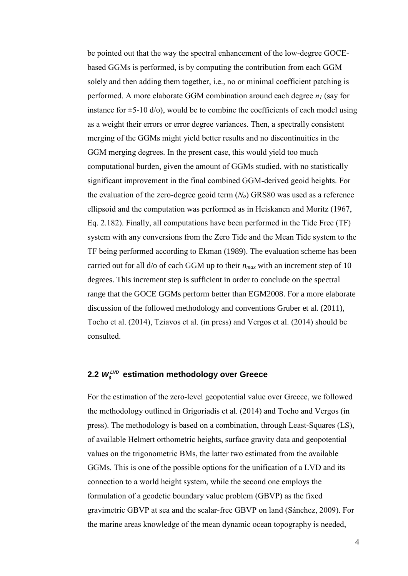be pointed out that the way the spectral enhancement of the low-degree GOCEbased GGMs is performed, is by computing the contribution from each GGM solely and then adding them together, i.e., no or minimal coefficient patching is performed. A more elaborate GGM combination around each degree  $n_l$  (say for instance for  $\pm$ 5-10 d/o), would be to combine the coefficients of each model using as a weight their errors or error degree variances. Then, a spectrally consistent merging of the GGMs might yield better results and no discontinuities in the GGM merging degrees. In the present case, this would yield too much computational burden, given the amount of GGMs studied, with no statistically significant improvement in the final combined GGM-derived geoid heights. For the evaluation of the zero-degree geoid term (*No*) GRS80 was used as a reference ellipsoid and the computation was performed as in Heiskanen and Moritz (1967, Eq. 2.182). Finally, all computations have been performed in the Tide Free (TF) system with any conversions from the Zero Tide and the Mean Tide system to the TF being performed according to Ekman (1989). The evaluation scheme has been carried out for all d/o of each GGM up to their *nmax* with an increment step of 10 degrees. This increment step is sufficient in order to conclude on the spectral range that the GOCE GGMs perform better than EGM2008. For a more elaborate discussion of the followed methodology and conventions Gruber et al. (2011), Tocho et al. (2014), Tziavos et al. (in press) and Vergos et al. (2014) should be consulted.

### 2.2  $W_o^{LVD}$  estimation methodology over Greece

For the estimation of the zero-level geopotential value over Greece, we followed the methodology outlined in Grigoriadis et al. (2014) and Tocho and Vergos (in press). The methodology is based on a combination, through Least-Squares (LS), of available Helmert orthometric heights, surface gravity data and geopotential values on the trigonometric BMs, the latter two estimated from the available GGMs. This is one of the possible options for the unification of a LVD and its connection to a world height system, while the second one employs the formulation of a geodetic boundary value problem (GBVP) as the fixed gravimetric GBVP at sea and the scalar-free GBVP on land (Sánchez, 2009). For the marine areas knowledge of the mean dynamic ocean topography is needed,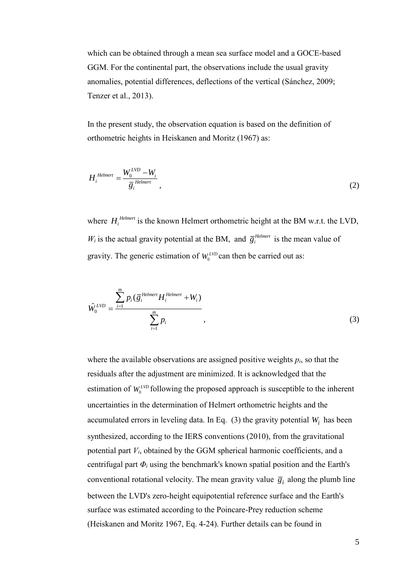which can be obtained through a mean sea surface model and a GOCE-based GGM. For the continental part, the observations include the usual gravity anomalies, potential differences, deflections of the vertical (Sánchez, 2009; Tenzer et al., 2013).

In the present study, the observation equation is based on the definition of orthometric heights in Heiskanen and Moritz (1967) as:

$$
H_i^{\text{Helmert}} = \frac{W_0^{\text{LVD}} - W_i}{\overline{g}_i^{\text{Helmert}}},
$$
\n(2)

where  $H_i^{\text{Helmert}}$  is the known Helmert orthometric height at the BM w.r.t. the LVD,  $W_i$  is the actual gravity potential at the BM, and  $\bar{g}_i^{Helmert}$  $\overline{g}^{\text{Helmert}}_i$  is the mean value of gravity. The generic estimation of  $W_0^{LVD}$  can then be carried out as:

$$
\hat{W}_0^{LVD} = \frac{\sum_{i=1}^m p_i (\overline{g}_i^{Helmert} H_i^{Helmert} + W_i)}{\sum_{i=1}^m p_i},
$$
\n(3)

where the available observations are assigned positive weights  $p_i$ , so that the residuals after the adjustment are minimized. It is acknowledged that the estimation of  $W_0^{LVD}$  following the proposed approach is susceptible to the inherent uncertainties in the determination of Helmert orthometric heights and the accumulated errors in leveling data. In Eq.  $(3)$  the gravity potential  $W_i$  has been synthesized, according to the IERS conventions (2010), from the gravitational potential part *Vi*, obtained by the GGM spherical harmonic coefficients, and a centrifugal part  $\Phi$ <sup>*i*</sup> using the benchmark's known spatial position and the Earth's conventional rotational velocity. The mean gravity value  $\overline{g}_i$  along the plumb line between the LVD's zero-height equipotential reference surface and the Earth's surface was estimated according to the Poincare-Prey reduction scheme (Heiskanen and Moritz 1967, Eq. 4-24). Further details can be found in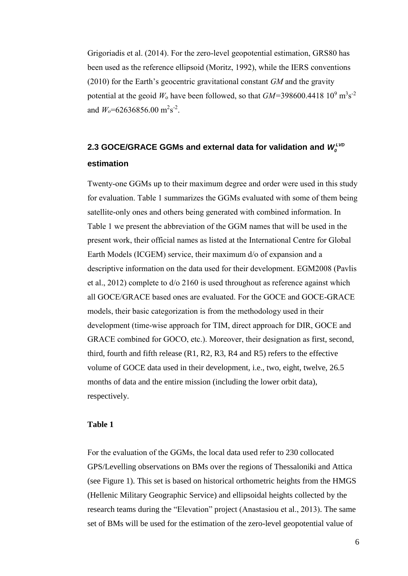Grigoriadis et al. (2014). For the zero-level geopotential estimation, GRS80 has been used as the reference ellipsoid (Moritz, 1992), while the IERS conventions (2010) for the Earth's geocentric gravitational constant *GM* and the gravity potential at the geoid  $W_0$  have been followed, so that  $GM = 398600.4418 \, 10^9 \, \text{m}^3 \text{s}^{-2}$ and  $W_o = 62636856.00 \text{ m}^2 \text{s}^{-2}$ .

# **2.3 GOCE/GRACE GGMs and external data for validation and**  *LVD <sup>W</sup><sup>0</sup>* **estimation**

Twenty-one GGMs up to their maximum degree and order were used in this study for evaluation. Table 1 summarizes the GGMs evaluated with some of them being satellite-only ones and others being generated with combined information. In Table 1 we present the abbreviation of the GGM names that will be used in the present work, their official names as listed at the International Centre for Global Earth Models (ICGEM) service, their maximum d/o of expansion and a descriptive information on the data used for their development. EGM2008 (Pavlis et al., 2012) complete to d/o 2160 is used throughout as reference against which all GOCE/GRACE based ones are evaluated. For the GOCE and GOCE-GRACE models, their basic categorization is from the methodology used in their development (time-wise approach for TIM, direct approach for DIR, GOCE and GRACE combined for GOCO, etc.). Moreover, their designation as first, second, third, fourth and fifth release (R1, R2, R3, R4 and R5) refers to the effective volume of GOCE data used in their development, i.e., two, eight, twelve, 26.5 months of data and the entire mission (including the lower orbit data), respectively.

### **Table 1**

For the evaluation of the GGMs, the local data used refer to 230 collocated GPS/Levelling observations on BMs over the regions of Thessaloniki and Attica (see Figure 1). This set is based on historical orthometric heights from the HMGS (Hellenic Military Geographic Service) and ellipsoidal heights collected by the research teams during the "Elevation" project (Anastasiou et al., 2013). The same set of BMs will be used for the estimation of the zero-level geopotential value of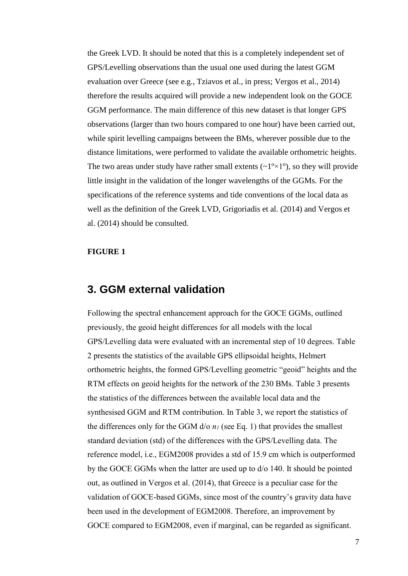the Greek LVD. It should be noted that this is a completely independent set of GPS/Levelling observations than the usual one used during the latest GGM evaluation over Greece (see e.g., Tziavos et al., in press; Vergos et al., 2014) therefore the results acquired will provide a new independent look on the GOCE GGM performance. The main difference of this new dataset is that longer GPS observations (larger than two hours compared to one hour) have been carried out, while spirit levelling campaigns between the BMs, wherever possible due to the distance limitations, were performed to validate the available orthometric heights. The two areas under study have rather small extents  $(\sim 1^{\circ} \times 1^{\circ})$ , so they will provide little insight in the validation of the longer wavelengths of the GGMs. For the specifications of the reference systems and tide conventions of the local data as well as the definition of the Greek LVD, Grigoriadis et al. (2014) and Vergos et al. (2014) should be consulted.

### **FIGURE 1**

### **3. GGM external validation**

Following the spectral enhancement approach for the GOCE GGMs, outlined previously, the geoid height differences for all models with the local GPS/Levelling data were evaluated with an incremental step of 10 degrees. Table 2 presents the statistics of the available GPS ellipsoidal heights, Helmert orthometric heights, the formed GPS/Levelling geometric "geoid" heights and the RTM effects on geoid heights for the network of the 230 BMs. Table 3 presents the statistics of the differences between the available local data and the synthesised GGM and RTM contribution. In Table 3, we report the statistics of the differences only for the GGM  $d$ /o  $n_l$  (see Eq. 1) that provides the smallest standard deviation (std) of the differences with the GPS/Levelling data. The reference model, i.e., EGM2008 provides a std of 15.9 cm which is outperformed by the GOCE GGMs when the latter are used up to d/o 140. It should be pointed out, as outlined in Vergos et al. (2014), that Greece is a peculiar case for the validation of GOCE-based GGMs, since most of the country's gravity data have been used in the development of EGM2008. Therefore, an improvement by GOCE compared to EGM2008, even if marginal, can be regarded as significant.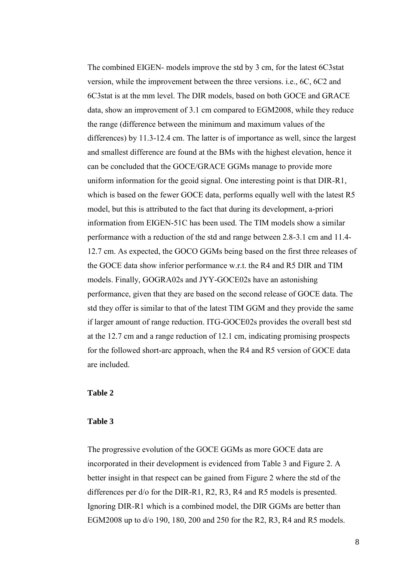The combined EIGEN- models improve the std by 3 cm, for the latest 6C3stat version, while the improvement between the three versions. i.e., 6C, 6C2 and 6C3stat is at the mm level. The DIR models, based on both GOCE and GRACE data, show an improvement of 3.1 cm compared to EGM2008, while they reduce the range (difference between the minimum and maximum values of the differences) by 11.3-12.4 cm. The latter is of importance as well, since the largest and smallest difference are found at the BMs with the highest elevation, hence it can be concluded that the GOCE/GRACE GGMs manage to provide more uniform information for the geoid signal. One interesting point is that DIR-R1, which is based on the fewer GOCE data, performs equally well with the latest R5 model, but this is attributed to the fact that during its development, a-priori information from EIGEN-51C has been used. The TIM models show a similar performance with a reduction of the std and range between 2.8-3.1 cm and 11.4- 12.7 cm. As expected, the GOCO GGMs being based on the first three releases of the GOCE data show inferior performance w.r.t. the R4 and R5 DIR and TIM models. Finally, GOGRA02s and JYY-GOCE02s have an astonishing performance, given that they are based on the second release of GOCE data. The std they offer is similar to that of the latest TIM GGM and they provide the same if larger amount of range reduction. ITG-GOCE02s provides the overall best std at the 12.7 cm and a range reduction of 12.1 cm, indicating promising prospects for the followed short-arc approach, when the R4 and R5 version of GOCE data are included.

### **Table 2**

#### **Table 3**

The progressive evolution of the GOCE GGMs as more GOCE data are incorporated in their development is evidenced from Table 3 and Figure 2. A better insight in that respect can be gained from Figure 2 where the std of the differences per d/o for the DIR-R1, R2, R3, R4 and R5 models is presented. Ignoring DIR-R1 which is a combined model, the DIR GGMs are better than EGM2008 up to d/o 190, 180, 200 and 250 for the R2, R3, R4 and R5 models.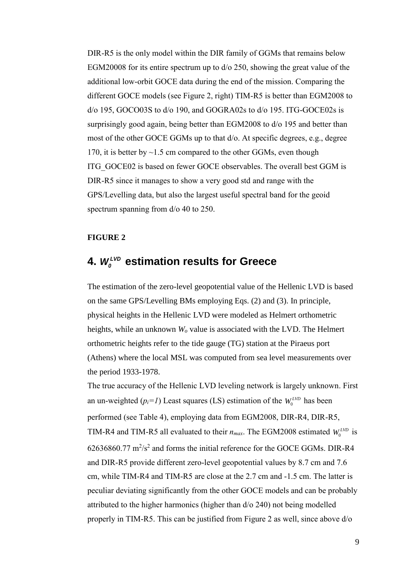DIR-R5 is the only model within the DIR family of GGMs that remains below EGM20008 for its entire spectrum up to d/o 250, showing the great value of the additional low-orbit GOCE data during the end of the mission. Comparing the different GOCE models (see Figure 2, right) TIM-R5 is better than EGM2008 to d/o 195, GOCO03S to d/o 190, and GOGRA02s to d/o 195. ITG-GOCE02s is surprisingly good again, being better than EGM2008 to d/o 195 and better than most of the other GOCE GGMs up to that d/o. At specific degrees, e.g., degree 170, it is better by  $\sim$  1.5 cm compared to the other GGMs, even though ITG\_GOCE02 is based on fewer GOCE observables. The overall best GGM is DIR-R5 since it manages to show a very good std and range with the GPS/Levelling data, but also the largest useful spectral band for the geoid spectrum spanning from  $d$ /o 40 to 250.

### **FIGURE 2**

# **4.**  *LVD <sup>W</sup><sup>0</sup>* **estimation results for Greece**

The estimation of the zero-level geopotential value of the Hellenic LVD is based on the same GPS/Levelling BMs employing Eqs. (2) and (3). In principle, physical heights in the Hellenic LVD were modeled as Helmert orthometric heights, while an unknown *W<sup>o</sup>* value is associated with the LVD. The Helmert orthometric heights refer to the tide gauge (TG) station at the Piraeus port (Athens) where the local MSL was computed from sea level measurements over the period 1933-1978.

The true accuracy of the Hellenic LVD leveling network is largely unknown. First an un-weighted  $(p_i=1)$  Least squares (LS) estimation of the  $W_0^{LVD}$  has been performed (see Table 4), employing data from EGM2008, DIR-R4, DIR-R5, TIM-R4 and TIM-R5 all evaluated to their  $n_{max}$ . The EGM2008 estimated  $W_0^{LVD}$  is  $62636860.77 \text{ m}^2/\text{s}^2$  and forms the initial reference for the GOCE GGMs. DIR-R4 and DIR-R5 provide different zero-level geopotential values by 8.7 cm and 7.6 cm, while TIM-R4 and TIM-R5 are close at the 2.7 cm and -1.5 cm. The latter is peculiar deviating significantly from the other GOCE models and can be probably attributed to the higher harmonics (higher than d/o 240) not being modelled properly in TIM-R5. This can be justified from Figure 2 as well, since above d/o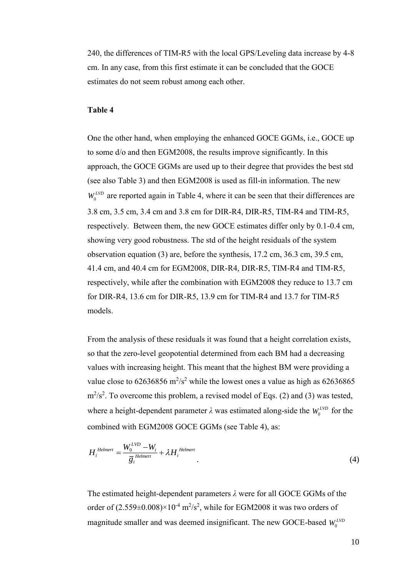240, the differences of TIM-R5 with the local GPS/Leveling data increase by 4-8 cm. In any case, from this first estimate it can be concluded that the GOCE estimates do not seem robust among each other.

### **Table 4**

One the other hand, when employing the enhanced GOCE GGMs, i.e., GOCE up to some d/o and then EGM2008, the results improve significantly. In this approach, the GOCE GGMs are used up to their degree that provides the best std (see also Table 3) and then EGM2008 is used as fill-in information. The new  $W_0^{LVD}$  are reported again in Table 4, where it can be seen that their differences are 3.8 cm, 3.5 cm, 3.4 cm and 3.8 cm for DIR-R4, DIR-R5, TIM-R4 and TIM-R5, respectively. Between them, the new GOCE estimates differ only by 0.1-0.4 cm, showing very good robustness. The std of the height residuals of the system observation equation (3) are, before the synthesis, 17.2 cm, 36.3 cm, 39.5 cm, 41.4 cm, and 40.4 cm for EGM2008, DIR-R4, DIR-R5, TIM-R4 and TIM-R5, respectively, while after the combination with EGM2008 they reduce to 13.7 cm for DIR-R4, 13.6 cm for DIR-R5, 13.9 cm for TIM-R4 and 13.7 for TIM-R5 models.

From the analysis of these residuals it was found that a height correlation exists, so that the zero-level geopotential determined from each BM had a decreasing values with increasing height. This meant that the highest BM were providing a value close to 62636856  $\text{m}^2/\text{s}^2$  while the lowest ones a value as high as 62636865  $\text{m}^2/\text{s}^2$ . To overcome this problem, a revised model of Eqs. (2) and (3) was tested, where a height-dependent parameter  $\lambda$  was estimated along-side the  $W_0^{LVD}$  for the combined with EGM2008 GOCE GGMs (see Table 4), as:

$$
H_i^{\text{Helmert}} = \frac{W_0^{\text{LVD}} - W_i}{\overline{g}_i^{\text{ Helmert}}} + \lambda H_i^{\text{Helmert}} \tag{4}
$$

The estimated height-dependent parameters *λ* were for all GOCE GGMs of the order of  $(2.559\pm0.008)\times10^{-4}$  m<sup>2</sup>/s<sup>2</sup>, while for EGM2008 it was two orders of magnitude smaller and was deemed insignificant. The new GOCE-based  $W_0^{LVD}$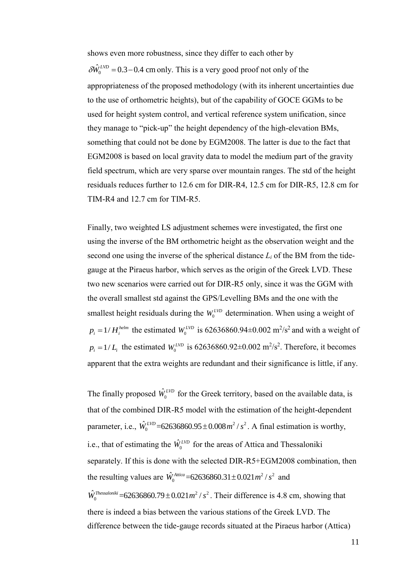shows even more robustness, since they differ to each other by

 $_{0}$  $\delta W_0^{LVD}$  = 0.3 – 0.4 cm only. This is a very good proof not only of the appropriateness of the proposed methodology (with its inherent uncertainties due to the use of orthometric heights), but of the capability of GOCE GGMs to be used for height system control, and vertical reference system unification, since they manage to "pick-up" the height dependency of the high-elevation BMs, something that could not be done by EGM2008. The latter is due to the fact that EGM2008 is based on local gravity data to model the medium part of the gravity field spectrum, which are very sparse over mountain ranges. The std of the height residuals reduces further to 12.6 cm for DIR-R4, 12.5 cm for DIR-R5, 12.8 cm for TIM-R4 and 12.7 cm for TIM-R5.

Finally, two weighted LS adjustment schemes were investigated, the first one using the inverse of the BM orthometric height as the observation weight and the second one using the inverse of the spherical distance  $L_i$  of the BM from the tidegauge at the Piraeus harbor, which serves as the origin of the Greek LVD. These two new scenarios were carried out for DIR-R5 only, since it was the GGM with the overall smallest std against the GPS/Levelling BMs and the one with the smallest height residuals during the  $W_0^{LVD}$  determination. When using a weight of  $p_i = 1/H_i^{helm}$  the estimated  $W_0^{LVD}$  is 62636860.94±0.002 m<sup>2</sup>/s<sup>2</sup> and with a weight of  $p_i = 1/L_i$  the estimated  $W_0^{LVD}$  is 62636860.92±0.002 m<sup>2</sup>/s<sup>2</sup>. Therefore, it becomes apparent that the extra weights are redundant and their significance is little, if any.

The finally proposed  $W_0$  $\hat{W}_0^{LVD}$  for the Greek territory, based on the available data, is that of the combined DIR-R5 model with the estimation of the height-dependent parameter, i.e.,  $W_0^{LVD}$  = 62636860.95 ± 0.008  $m^2/s^2$ 0  $\hat{W}_0^{LVD}$  = 62636860.95 ± 0.008  $m^2/s^2$ . A final estimation is worthy, i.e., that of estimating the  $\hat{W}_0^{LVD}$  for the areas of Attica and Thessaloniki separately. If this is done with the selected DIR-R5+EGM2008 combination, then the resulting values are  $\hat{W}_0^{Atica}$  = 62636860.31 ± 0.021 $m^2/s^2$ 0  $\hat{W}_0^{Attica}$  = 62636860.31 ± 0.021  $m^2$  /  $s^2$  and

 $2, 2$ 0  $\hat{W}_0^{The ssaloniki}$  = 62636860.79 ± 0.021  $m^2/s^2$ . Their difference is 4.8 cm, showing that there is indeed a bias between the various stations of the Greek LVD. The difference between the tide-gauge records situated at the Piraeus harbor (Attica)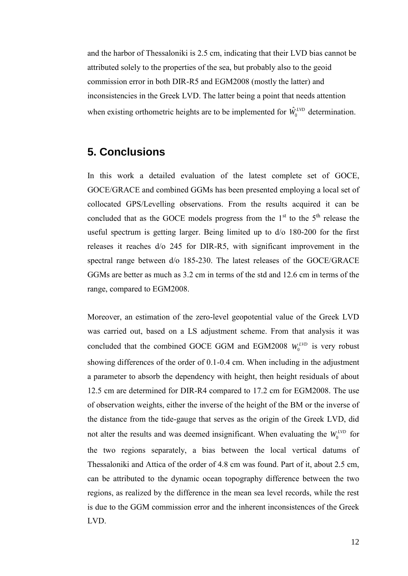and the harbor of Thessaloniki is 2.5 cm, indicating that their LVD bias cannot be attributed solely to the properties of the sea, but probably also to the geoid commission error in both DIR-R5 and EGM2008 (mostly the latter) and inconsistencies in the Greek LVD. The latter being a point that needs attention when existing orthometric heights are to be implemented for  $W_0$  $\hat{W}_0^{LVD}$  determination.

# **5. Conclusions**

In this work a detailed evaluation of the latest complete set of GOCE, GOCE/GRACE and combined GGMs has been presented employing a local set of collocated GPS/Levelling observations. From the results acquired it can be concluded that as the GOCE models progress from the  $1<sup>st</sup>$  to the  $5<sup>th</sup>$  release the useful spectrum is getting larger. Being limited up to d/o 180-200 for the first releases it reaches d/o 245 for DIR-R5, with significant improvement in the spectral range between d/o 185-230. The latest releases of the GOCE/GRACE GGMs are better as much as 3.2 cm in terms of the std and 12.6 cm in terms of the range, compared to EGM2008.

Moreover, an estimation of the zero-level geopotential value of the Greek LVD was carried out, based on a LS adjustment scheme. From that analysis it was concluded that the combined GOCE GGM and EGM2008  $W_0^{LVD}$  is very robust showing differences of the order of 0.1-0.4 cm. When including in the adjustment a parameter to absorb the dependency with height, then height residuals of about 12.5 cm are determined for DIR-R4 compared to 17.2 cm for EGM2008. The use of observation weights, either the inverse of the height of the BM or the inverse of the distance from the tide-gauge that serves as the origin of the Greek LVD, did not alter the results and was deemed insignificant. When evaluating the  $W_0^{LVD}$  for the two regions separately, a bias between the local vertical datums of Thessaloniki and Attica of the order of 4.8 cm was found. Part of it, about 2.5 cm, can be attributed to the dynamic ocean topography difference between the two regions, as realized by the difference in the mean sea level records, while the rest is due to the GGM commission error and the inherent inconsistences of the Greek LVD.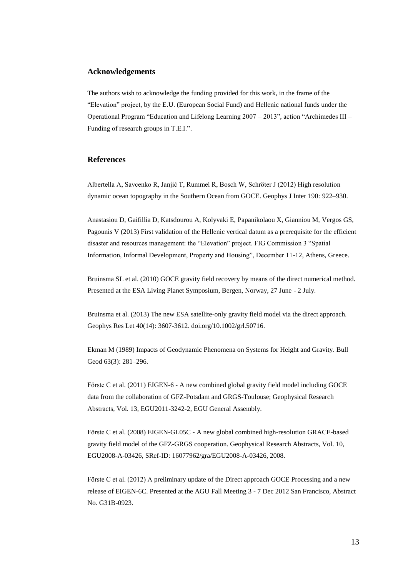#### **Acknowledgements**

The authors wish to acknowledge the funding provided for this work, in the frame of the "Elevation" project, by the E.U. (European Social Fund) and Hellenic national funds under the Operational Program "Education and Lifelong Learning 2007 – 2013", action "Archimedes III – Funding of research groups in T.E.I.".

#### **References**

Albertella A, Savcenko R, Janjić T, Rummel R, Bosch W, Schröter J (2012) High resolution dynamic ocean topography in the Southern Ocean from GOCE. Geophys J Inter 190: 922–930.

Anastasiou D, Gaifillia D, Katsdourou A, Kolyvaki E, Papanikolaou X, Gianniou M, Vergos GS, Pagounis V (2013) First validation of the Hellenic vertical datum as a prerequisite for the efficient disaster and resources management: the "Elevation" project. FIG Commission 3 "Spatial Information, Informal Development, Property and Housing", December 11-12, Athens, Greece.

Bruinsma SL et al. (2010) GOCE gravity field recovery by means of the direct numerical method. Presented at the ESA Living Planet Symposium, Bergen, Norway, 27 June - 2 July.

Bruinsma et al. (2013) The new ESA satellite-only gravity field model via the direct approach. Geophys Res Let 40(14): 3607-3612. doi.org/10.1002/grl.50716.

Ekman M (1989) Impacts of Geodynamic Phenomena on Systems for Height and Gravity. Bull Geod 63(3): 281–296.

Förste C et al. (2011) EIGEN-6 - A new combined global gravity field model including GOCE data from the collaboration of GFZ-Potsdam and GRGS-Toulouse; Geophysical Research Abstracts, Vol. 13, EGU2011-3242-2, EGU General Assembly.

Förste C et al. (2008) EIGEN-GL05C - A new global combined high-resolution GRACE-based gravity field model of the GFZ-GRGS cooperation. Geophysical Research Abstracts, Vol. 10, EGU2008-A-03426, SRef-ID: 16077962/gra/EGU2008-A-03426, 2008.

Förste C et al. (2012) A preliminary update of the Direct approach GOCE Processing and a new release of EIGEN-6C. Presented at the AGU Fall Meeting 3 - 7 Dec 2012 San Francisco, Abstract No. G31B-0923.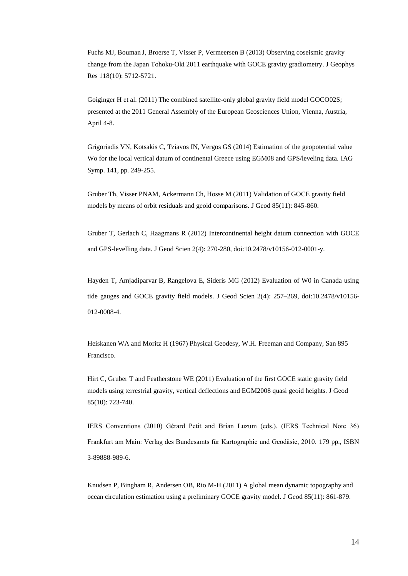Fuchs MJ, Bouman J, Broerse T, Visser P, Vermeersen B (2013) Observing coseismic gravity change from the Japan Tohoku-Oki 2011 earthquake with GOCE gravity gradiometry. J Geophys Res 118(10): 5712-5721.

Goiginger H et al. (2011) The combined satellite-only global gravity field model GOCO02S; presented at the 2011 General Assembly of the European Geosciences Union, Vienna, Austria, April 4-8.

Grigoriadis VN, Kotsakis C, Tziavos IN, Vergos GS (2014) Estimation of the geopotential value Wo for the local vertical datum of continental Greece using EGM08 and GPS/leveling data. IAG Symp. 141, pp. 249-255.

Gruber Th, Visser PNAM, Ackermann Ch, Hosse M (2011) Validation of GOCE gravity field models by means of orbit residuals and geoid comparisons. J Geod 85(11): 845-860.

Gruber T, Gerlach C, Haagmans R (2012) Intercontinental height datum connection with GOCE and GPS-levelling data. J Geod Scien 2(4): 270-280, doi:10.2478/v10156-012-0001-y.

Hayden T, Amjadiparvar B, Rangelova E, Sideris MG (2012) Evaluation of W0 in Canada using tide gauges and GOCE gravity field models. J Geod Scien 2(4): 257–269, doi:10.2478/v10156- 012-0008-4.

Heiskanen WA and Moritz H (1967) Physical Geodesy, W.H. Freeman and Company, San 895 Francisco.

Hirt C, Gruber T and Featherstone WE (2011) Evaluation of the first GOCE static gravity field models using terrestrial gravity, vertical deflections and EGM2008 quasi geoid heights. J Geod 85(10): 723-740.

IERS Conventions (2010) Gérard Petit and Brian Luzum (eds.). (IERS Technical Note 36) Frankfurt am Main: Verlag des Bundesamts für Kartographie und Geodäsie, 2010. 179 pp., ISBN 3-89888-989-6.

Knudsen P, Bingham R, Andersen OB, Rio M-H (2011) A global mean dynamic topography and ocean circulation estimation using a preliminary GOCE gravity model. J Geod 85(11): 861-879.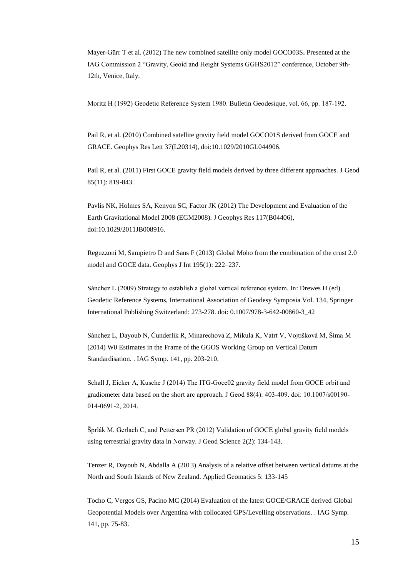Mayer-Gürr T et al. (2012) The new combined satellite only model GOCO03S**.** Presented at the IAG Commission 2 "Gravity, Geoid and Height Systems GGHS2012" conference, October 9th-12th, Venice, Italy.

Moritz H (1992) Geodetic Reference System 1980. Bulletin Geodesique, vol. 66, pp. 187-192.

Pail R, et al. (2010) Combined satellite gravity field model GOCO01S derived from GOCE and GRACE. Geophys Res Lett 37(L20314), doi:10.1029/2010GL044906.

Pail R, et al. (2011) First GOCE gravity field models derived by three different approaches. J Geod 85(11): 819-843.

Pavlis NK, Holmes SA, Kenyon SC, Factor JK (2012) The Development and Evaluation of the Earth Gravitational Model 2008 (EGM2008). J Geophys Res 117(B04406), doi:10.1029/2011JB008916.

Reguzzoni M, Sampietro D and Sans F (2013) Global Moho from the combination of the crust 2.0 model and GOCE data. Geophys J Int 195(1): 222–237.

Sánchez L (2009) Strategy to establish a global vertical reference system. In: Drewes H (ed) Geodetic Reference Systems, International Association of Geodesy Symposia Vol. 134, Springer International Publishing Switzerland: 273-278. doi: 0.1007/978-3-642-00860-3\_42

Sánchez L, Dayoub N, Čunderlík R, Minarechová Z, Mikula K, Vatrt V, Vojtíšková M, Šíma M (2014) W0 Estimates in the Frame of the GGOS Working Group on Vertical Datum Standardisation. . IAG Symp. 141, pp. 203-210.

Schall J, Eicker A, Kusche J (2014) The ITG-Goce02 gravity field model from GOCE orbit and gradiometer data based on the short arc approach. J Geod 88(4): 403-409. doi: 10.1007/s00190- 014-0691-2, 2014.

Šprlák M, Gerlach C, and Pettersen PR (2012) Validation of GOCE global gravity field models using terrestrial gravity data in Norway. J Geod Science 2(2): 134-143.

Tenzer R, Dayoub N, Abdalla A (2013) Analysis of a relative offset between vertical datums at the North and South Islands of New Zealand. Applied Geomatics 5: 133-145

Tocho C, Vergos GS, Pacino MC (2014) Evaluation of the latest GOCE/GRACE derived Global Geopotential Models over Argentina with collocated GPS/Levelling observations. . IAG Symp. 141, pp. 75-83.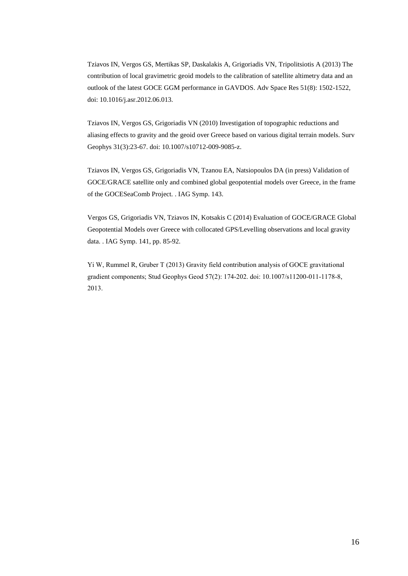Tziavos IN, Vergos GS, Mertikas SP, Daskalakis A, Grigoriadis VN, Tripolitsiotis A (2013) The contribution of local gravimetric geoid models to the calibration of satellite altimetry data and an outlook of the latest GOCE GGM performance in GAVDOS. Adv Space Res 51(8): 1502-1522, doi: 10.1016/j.asr.2012.06.013.

Tziavos IN, Vergos GS, Grigoriadis VN (2010) Investigation of topographic reductions and aliasing effects to gravity and the geoid over Greece based on various digital terrain models. Surv Geophys 31(3):23-67. doi: 10.1007/s10712-009-9085-z.

Tziavos IN, Vergos GS, Grigoriadis VN, Tzanou EA, Natsiopoulos DA (in press) Validation of GOCE/GRACE satellite only and combined global geopotential models over Greece, in the frame of the GOCESeaComb Project. . IAG Symp. 143.

Vergos GS, Grigoriadis VN, Tziavos IN, Kotsakis C (2014) Evaluation of GOCE/GRACE Global Geopotential Models over Greece with collocated GPS/Levelling observations and local gravity data. . IAG Symp. 141, pp. 85-92.

Yi W, Rummel R, Gruber T (2013) Gravity field contribution analysis of GOCE gravitational gradient components; Stud Geophys Geod 57(2): 174-202. doi: 10.1007/s11200-011-1178-8, 2013.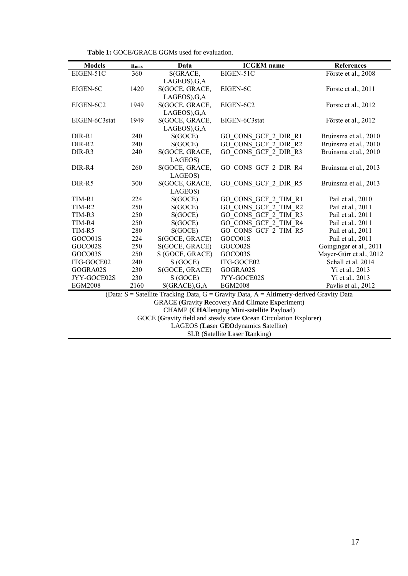**Table 1:** GOCE/GRACE GGMs used for evaluation.

| <b>Models</b>                                                                            | $n_{max}$ | Data              | <b>ICGEM</b> name    | <b>References</b>       |  |
|------------------------------------------------------------------------------------------|-----------|-------------------|----------------------|-------------------------|--|
| EIGEN-51C                                                                                | 360       | S(GRACE,          | EIGEN-51C            | Förste et al., 2008     |  |
|                                                                                          |           | LAGEOS), G, A     |                      |                         |  |
| EIGEN-6C                                                                                 | 1420      | S(GOCE, GRACE,    | EIGEN-6C             | Förste et al., 2011     |  |
|                                                                                          |           | LAGEOS), G, A     |                      |                         |  |
| EIGEN-6C2                                                                                | 1949      | S(GOCE, GRACE,    | EIGEN-6C2            | Förste et al., 2012     |  |
|                                                                                          |           | LAGEOS), G, A     |                      |                         |  |
| EIGEN-6C3stat                                                                            | 1949      | S(GOCE, GRACE,    | EIGEN-6C3stat        | Förste et al., 2012     |  |
|                                                                                          |           | LAGEOS), G, A     |                      |                         |  |
| DIR-R1                                                                                   | 240       | S(GOCE)           | GO CONS GCF 2 DIR R1 | Bruinsma et al., 2010   |  |
| DIR-R2                                                                                   | 240       | S(GOCE)           | GO CONS GCF 2 DIR R2 | Bruinsma et al., 2010   |  |
| DIR-R3                                                                                   | 240       | S(GOCE, GRACE,    | GO CONS_GCF_2_DIR_R3 | Bruinsma et al., 2010   |  |
|                                                                                          |           | LAGEOS)           |                      |                         |  |
| DIR-R4                                                                                   | 260       | S(GOCE, GRACE,    | GO CONS GCF 2 DIR R4 | Bruinsma et al., 2013   |  |
|                                                                                          |           | LAGEOS)           |                      |                         |  |
| DIR-R5                                                                                   | 300       | S(GOCE, GRACE,    | GO CONS GCF 2 DIR R5 | Bruinsma et al., 2013   |  |
|                                                                                          |           | LAGEOS)           |                      |                         |  |
| TIM-R1                                                                                   | 224       | S(GOCE)           | GO CONS GCF 2 TIM R1 | Pail et al., 2010       |  |
| TIM-R2                                                                                   | 250       | S(GOCE)           | GO_CONS_GCF_2_TIM_R2 | Pail et al., 2011       |  |
| TIM-R3                                                                                   | 250       | S(GOCE)           | GO CONS GCF 2 TIM R3 | Pail et al., 2011       |  |
| TIM-R4                                                                                   | 250       | S(GOCE)           | GO CONS GCF 2 TIM R4 | Pail et al., 2011       |  |
| TIM-R5                                                                                   | 280       | S(GOCE)           | GO CONS GCF 2 TIM R5 | Pail et al., 2011       |  |
| GOCO01S                                                                                  | 224       | S(GOCE, GRACE)    | GOCO01S              | Pail et al., 2011       |  |
| GOCO02S                                                                                  | 250       | S(GOCE, GRACE)    | GOCO02S              | Goinginger et al., 2011 |  |
| GOCO03S                                                                                  | 250       | S (GOCE, GRACE)   | GOCO03S              | Mayer-Gürr et al., 2012 |  |
| ITG-GOCE02                                                                               | 240       | S (GOCE)          | ITG-GOCE02           | Schall et al. 2014      |  |
| GOGRA02S                                                                                 | 230       | S(GOCE, GRACE)    | GOGRA02S             | Yi et al., 2013         |  |
| JYY-GOCE02S                                                                              | 230       | S (GOCE)          | JYY-GOCE02S          | Yi et al., 2013         |  |
| <b>EGM2008</b>                                                                           | 2160      | $S(GRACE)$ , G, A | <b>EGM2008</b>       | Pavlis et al., 2012     |  |
| (Data: S = Satellite Tracking Data, G = Gravity Data, A = Altimetry-derived Gravity Data |           |                   |                      |                         |  |
| <b>GRACE (Gravity Recovery And Climate Experiment)</b>                                   |           |                   |                      |                         |  |
| CHAMP (CHAllenging Mini-satellite Payload)                                               |           |                   |                      |                         |  |
| GOCE (Gravity field and steady state Ocean Circulation Explorer)                         |           |                   |                      |                         |  |
| LAGEOS (Laser GEOdynamics Satellite)                                                     |           |                   |                      |                         |  |
| <b>SLR (Satellite Laser Ranking)</b>                                                     |           |                   |                      |                         |  |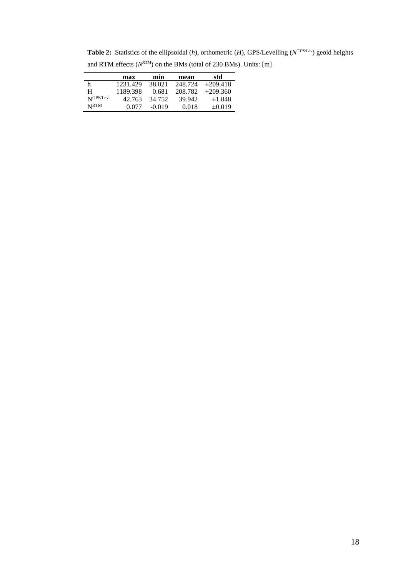**Table 2:** Statistics of the ellipsoidal (*h*), orthometric (*H*), GPS/Levelling (*N GPS/Lev*) geoid heights and RTM effects (*N RTM*) on the BMs (total of 230 BMs). Units: [m]

|                  | max      | min      | mean    | std           |
|------------------|----------|----------|---------|---------------|
| h                | 1231.429 | 38.021   | 248.724 | $\pm 209.418$ |
| н                | 1189.398 | 0.681    | 208.782 | $\pm 209.360$ |
| NGPS/Lev         | 42.763   | 34.752   | 39.942  | ±1.848        |
| N <sub>RTM</sub> | (1077)   | $-0.019$ | 0.018   | $\pm 0.019$   |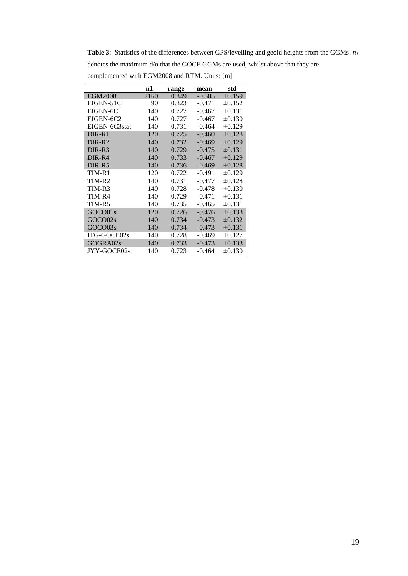**Table 3**: Statistics of the differences between GPS/levelling and geoid heights from the GGMs. *n<sup>1</sup>* denotes the maximum d/o that the GOCE GGMs are used, whilst above that they are complemented with EGM2008 and RTM. Units: [m]

|                    | n1   | range | mean     | std         |
|--------------------|------|-------|----------|-------------|
| <b>EGM2008</b>     | 2160 | 0.849 | $-0.505$ | $\pm 0.159$ |
| EIGEN-51C          | 90   | 0.823 | $-0.471$ | $\pm 0.152$ |
| EIGEN-6C           | 140  | 0.727 | $-0.467$ | $\pm 0.131$ |
| EIGEN-6C2          | 140  | 0.727 | $-0.467$ | $\pm 0.130$ |
| EIGEN-6C3stat      | 140  | 0.731 | $-0.464$ | $\pm 0.129$ |
| DIR-R1             | 120  | 0.725 | $-0.460$ | $\pm 0.128$ |
| DIR-R <sub>2</sub> | 140  | 0.732 | $-0.469$ | $\pm 0.129$ |
| DIR-R3             | 140  | 0.729 | $-0.475$ | $\pm 0.131$ |
| DIR-R4             | 140  | 0.733 | $-0.467$ | $\pm 0.129$ |
| DIR-R5             | 140  | 0.736 | $-0.469$ | $\pm 0.128$ |
| TIM-R1             | 120  | 0.722 | $-0.491$ | $\pm 0.129$ |
| TIM-R2             | 140  | 0.731 | $-0.477$ | $\pm 0.128$ |
| TIM-R3             | 140  | 0.728 | $-0.478$ | $\pm 0.130$ |
| TIM-R4             | 140  | 0.729 | $-0.471$ | $\pm 0.131$ |
| TIM-R5             | 140  | 0.735 | $-0.465$ | $\pm 0.131$ |
| GOCO01s            | 120  | 0.726 | $-0.476$ | $\pm 0.133$ |
| GOCO02s            | 140  | 0.734 | $-0.473$ | $\pm 0.132$ |
| GOCO03s            | 140  | 0.734 | $-0.473$ | $\pm 0.131$ |
| ITG-GOCE02s        | 140  | 0.728 | $-0.469$ | $\pm 0.127$ |
| GOGRA02s           | 140  | 0.733 | $-0.473$ | $\pm 0.133$ |
| JYY-GOCE02s        | 140  | 0.723 | $-0.464$ | $\pm 0.130$ |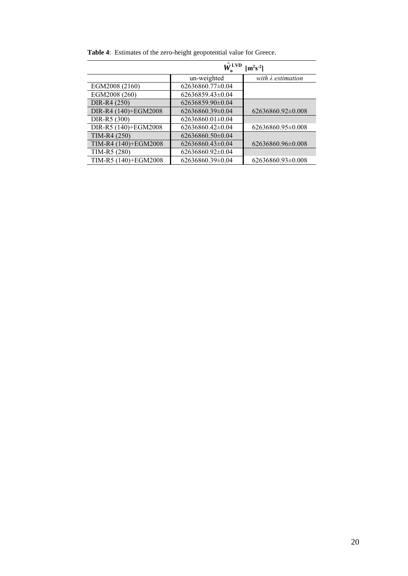|                      | $\hat{W}^{\mathrm{LVD}}$ | $\left[\text{m}^2\text{s}^{-2}\right]$ |
|----------------------|--------------------------|----------------------------------------|
|                      | un-weighted              | with $\lambda$ estimation              |
| EGM2008 (2160)       | 62636860.77±0.04         |                                        |
| EGM2008 (260)        | $62636859.43\pm0.04$     |                                        |
| DIR-R4 (250)         | 62636859.90±0.04         |                                        |
| DIR-R4 (140)+EGM2008 | $62636860.39\pm0.04$     | $62636860.92\pm0.008$                  |
| DIR-R5 (300)         | $62636860.01\pm0.04$     |                                        |
| DIR-R5 (140)+EGM2008 | $62636860.42\pm0.04$     | 62636860.95±0.008                      |
| TIM-R4 (250)         | $62636860.50\pm0.04$     |                                        |
| TIM-R4 (140)+EGM2008 | $62636860.43\pm0.04$     | 62636860.96±0.008                      |
| TIM-R5 (280)         | $62636860.92\pm0.04$     |                                        |
| TIM-R5 (140)+EGM2008 | 62636860.39±0.04         | 62636860.93±0.008                      |

**Table 4**: Estimates of the zero-height geopotential value for Greece.